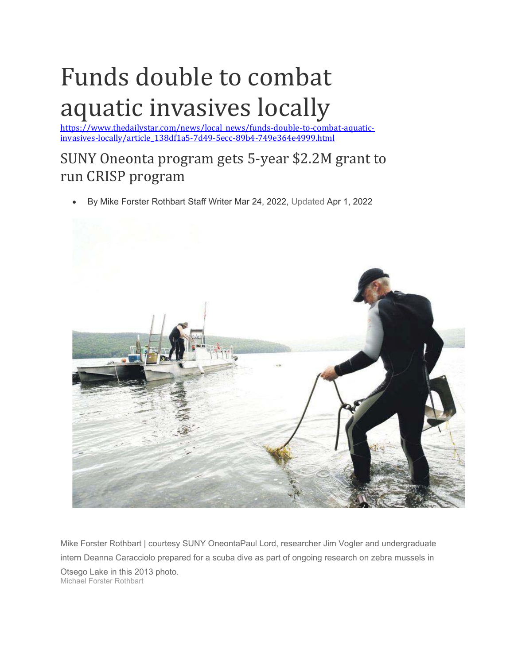## Funds double to combat aquatic invasives locally

https://www.thedailystar.com/news/local\_news/funds-double-to-combat-aquaticinvasives-locally/article\_138df1a5-7d49-5ecc-89b4-749e364e4999.html

## SUNY Oneonta program gets 5-year \$2.2M grant to run CRISP program

By Mike Forster Rothbart Staff Writer Mar 24, 2022, Updated Apr 1, 2022



Mike Forster Rothbart | courtesy SUNY OneontaPaul Lord, researcher Jim Vogler and undergraduate intern Deanna Caracciolo prepared for a scuba dive as part of ongoing research on zebra mussels in Otsego Lake in this 2013 photo. Michael Forster Rothbart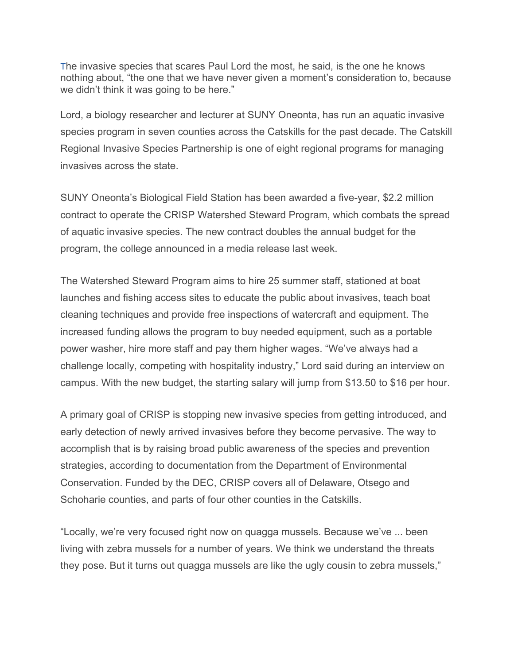The invasive species that scares Paul Lord the most, he said, is the one he knows nothing about, "the one that we have never given a moment's consideration to, because we didn't think it was going to be here."

Lord, a biology researcher and lecturer at SUNY Oneonta, has run an aquatic invasive species program in seven counties across the Catskills for the past decade. The Catskill Regional Invasive Species Partnership is one of eight regional programs for managing invasives across the state.

SUNY Oneonta's Biological Field Station has been awarded a five-year, \$2.2 million contract to operate the CRISP Watershed Steward Program, which combats the spread of aquatic invasive species. The new contract doubles the annual budget for the program, the college announced in a media release last week.

The Watershed Steward Program aims to hire 25 summer staff, stationed at boat launches and fishing access sites to educate the public about invasives, teach boat cleaning techniques and provide free inspections of watercraft and equipment. The increased funding allows the program to buy needed equipment, such as a portable power washer, hire more staff and pay them higher wages. "We've always had a challenge locally, competing with hospitality industry," Lord said during an interview on campus. With the new budget, the starting salary will jump from \$13.50 to \$16 per hour.

A primary goal of CRISP is stopping new invasive species from getting introduced, and early detection of newly arrived invasives before they become pervasive. The way to accomplish that is by raising broad public awareness of the species and prevention strategies, according to documentation from the Department of Environmental Conservation. Funded by the DEC, CRISP covers all of Delaware, Otsego and Schoharie counties, and parts of four other counties in the Catskills.

"Locally, we're very focused right now on quagga mussels. Because we've ... been living with zebra mussels for a number of years. We think we understand the threats they pose. But it turns out quagga mussels are like the ugly cousin to zebra mussels,"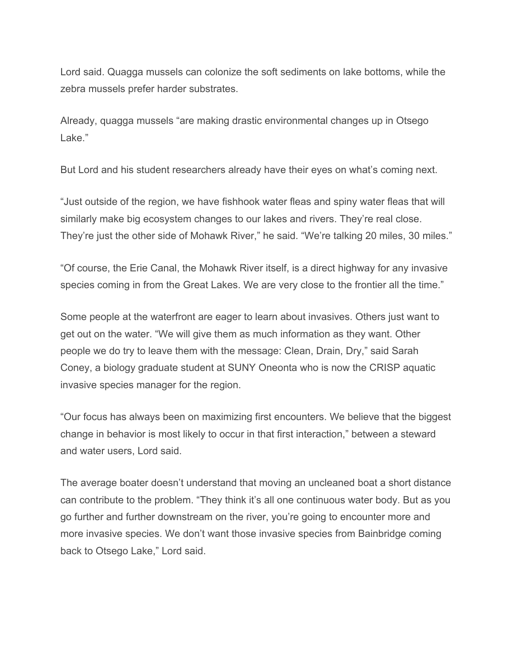Lord said. Quagga mussels can colonize the soft sediments on lake bottoms, while the zebra mussels prefer harder substrates.

Already, quagga mussels "are making drastic environmental changes up in Otsego Lake."

But Lord and his student researchers already have their eyes on what's coming next.

"Just outside of the region, we have fishhook water fleas and spiny water fleas that will similarly make big ecosystem changes to our lakes and rivers. They're real close. They're just the other side of Mohawk River," he said. "We're talking 20 miles, 30 miles."

"Of course, the Erie Canal, the Mohawk River itself, is a direct highway for any invasive species coming in from the Great Lakes. We are very close to the frontier all the time."

Some people at the waterfront are eager to learn about invasives. Others just want to get out on the water. "We will give them as much information as they want. Other people we do try to leave them with the message: Clean, Drain, Dry," said Sarah Coney, a biology graduate student at SUNY Oneonta who is now the CRISP aquatic invasive species manager for the region.

"Our focus has always been on maximizing first encounters. We believe that the biggest change in behavior is most likely to occur in that first interaction," between a steward and water users, Lord said.

The average boater doesn't understand that moving an uncleaned boat a short distance can contribute to the problem. "They think it's all one continuous water body. But as you go further and further downstream on the river, you're going to encounter more and more invasive species. We don't want those invasive species from Bainbridge coming back to Otsego Lake," Lord said.